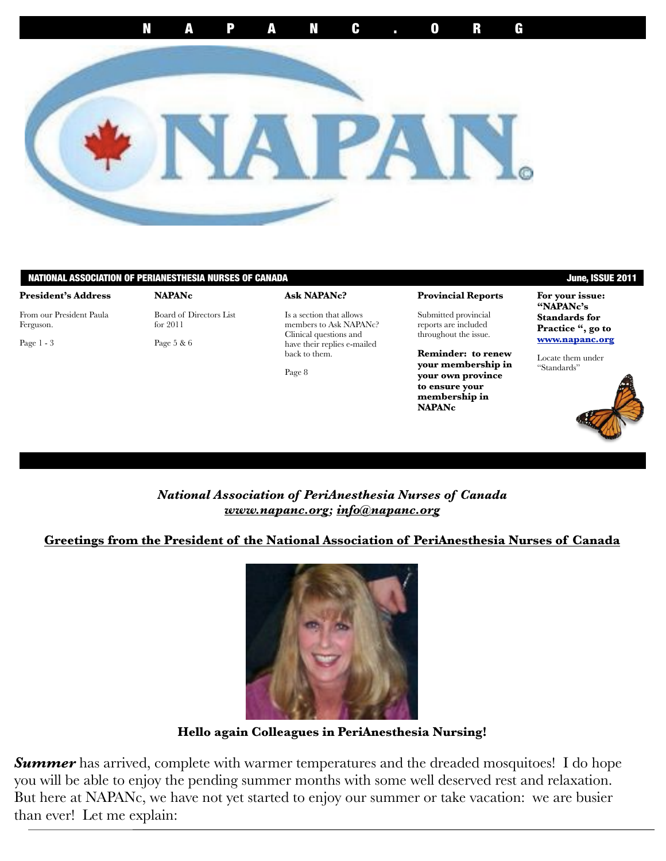

#### NATIONAL ASSOCIATION OF PERIANESTHESIA NURSES OF CANADA June, ISSUE 2011

#### **President's Address**

From our President Paula Ferguson.

Page 1 - 3

Board of Directors List for 2011

Page 5 & 6

**NAPANc** 

**Ask NAPANc?**

Is a section that allows members to Ask NAPANc? Clinical questions and have their replies e-mailed back to them.

Page 8

#### **Provincial Reports**

Submitted provincial reports are included throughout the issue.

**Reminder: to renew your membership in your own province to ensure your membership in NAPANc**

**For your issue: "NAPANc's Standards for** 

**Practice ", go to [www.napanc.org](http://www.napanc.org)**

Locate them under "Standards"



## *National Association of PeriAnesthesia Nurses of Canada [www.napanc.org;](http://www.napanc.org) [info@napanc.org](mailto:info@napanc.org)*

#### **Greetings from the President of the National Association of PeriAnesthesia Nurses of Canada**



**Hello again Colleagues in PeriAnesthesia Nursing!** 

**Summer** has arrived, complete with warmer temperatures and the dreaded mosquitoes! I do hope you will be able to enjoy the pending summer months with some well deserved rest and relaxation. But here at NAPANc, we have not yet started to enjoy our summer or take vacation: we are busier than ever! Let me explain: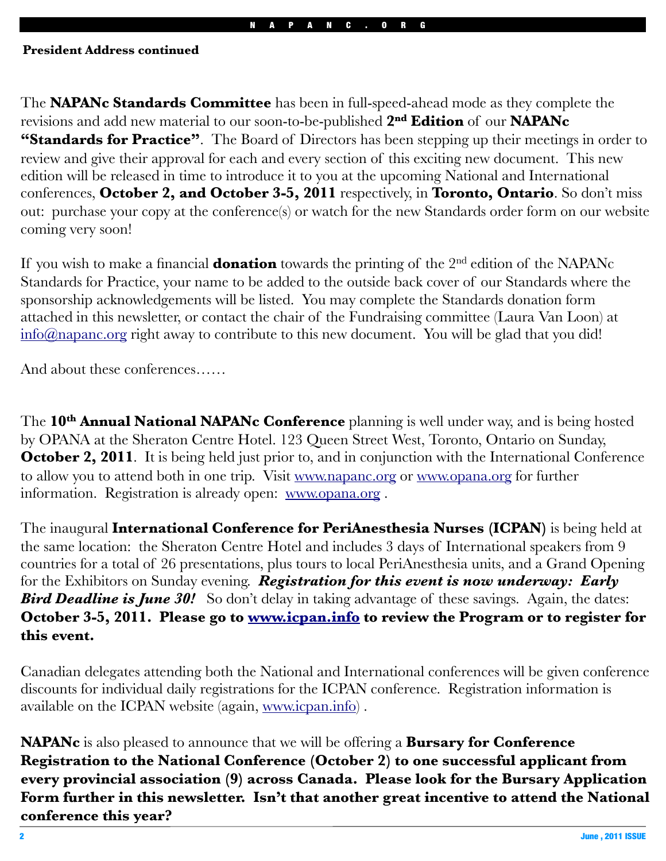#### **President Address continued**

The **NAPANc Standards Committee** has been in full-speed-ahead mode as they complete the revisions and add new material to our soon-to-be-published **2nd Edition** of our **NAPANc "Standards for Practice"**. The Board of Directors has been stepping up their meetings in order to review and give their approval for each and every section of this exciting new document. This new edition will be released in time to introduce it to you at the upcoming National and International conferences, **October 2, and October 3-5, 2011** respectively, in **Toronto, Ontario**. So don't miss out: purchase your copy at the conference(s) or watch for the new Standards order form on our website coming very soon!

If you wish to make a financial **donation** towards the printing of the 2nd edition of the NAPANc Standards for Practice, your name to be added to the outside back cover of our Standards where the sponsorship acknowledgements will be listed. You may complete the Standards donation form attached in this newsletter, or contact the chair of the Fundraising committee (Laura Van Loon) at [info@napanc.org](mailto:info@napanc.org) right away to contribute to this new document. You will be glad that you did!

And about these conferences……

The **10th Annual National NAPANc Conference** planning is well under way, and is being hosted by OPANA at the Sheraton Centre Hotel. 123 Queen Street West, Toronto, Ontario on Sunday, **October 2, 2011**. It is being held just prior to, and in conjunction with the International Conference to allow you to attend both in one trip. Visit [www.napanc.org](http://www.napanc.org) or [www.opana.org](http://www.opana.org) for further information. Registration is already open: [www.opana.org](http://www.opana.org) .

The inaugural **International Conference for PeriAnesthesia Nurses (ICPAN)** is being held at the same location: the Sheraton Centre Hotel and includes 3 days of International speakers from 9 countries for a total of 26 presentations, plus tours to local PeriAnesthesia units, and a Grand Opening for the Exhibitors on Sunday evening. *Registration for this event is now underway: Early*  **Bird Deadline is June 30!** So don't delay in taking advantage of these savings. Again, the dates: **October 3-5, 2011. Please go to [www.icpan.info](http://www.icpan.info) to review the Program or to register for this event.**

Canadian delegates attending both the National and International conferences will be given conference discounts for individual daily registrations for the ICPAN conference. Registration information is available on the ICPAN website (again, [www.icpan.info\)](http://www.icpan.info) .

**NAPANc** is also pleased to announce that we will be offering a **Bursary for Conference Registration to the National Conference (October 2) to one successful applicant from every provincial association (9) across Canada. Please look for the Bursary Application Form further in this newsletter. Isn't that another great incentive to attend the National conference this year?**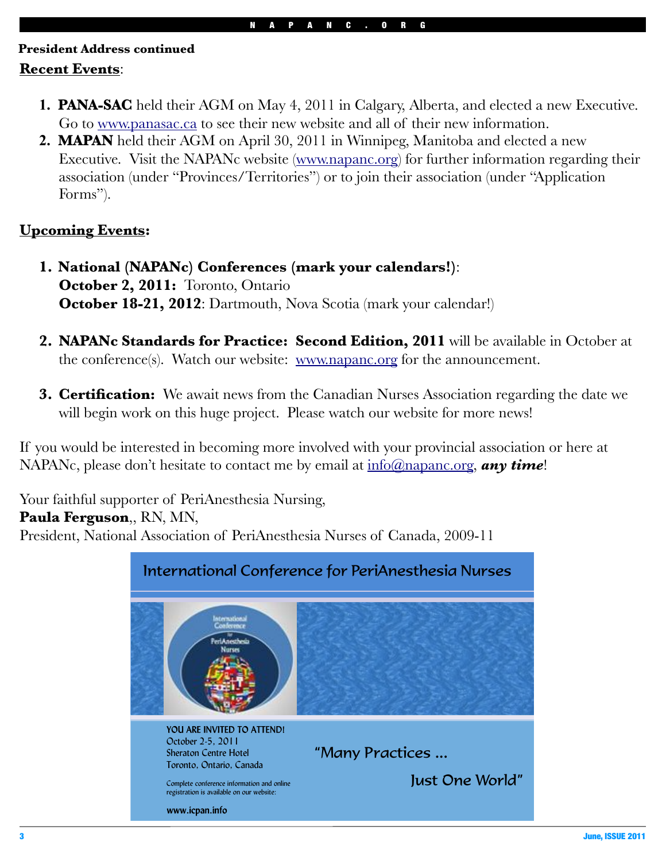# **Recent Events**: **President Address continued**

- **1. PANA-SAC** held their AGM on May 4, 2011 in Calgary, Alberta, and elected a new Executive. Go to [www.panasac.ca](http://www.panasac.ca) to see their new website and all of their new information.
- **2. MAPAN** held their AGM on April 30, 2011 in Winnipeg, Manitoba and elected a new Executive. Visit the NAPANc website [\(www.napanc.org\)](http://www.napanc.org) for further information regarding their association (under "Provinces/Territories") or to join their association (under "Application Forms").

# **Upcoming Events:**

- **1. National (NAPANc) Conferences (mark your calendars!)**: **October 2, 2011:** Toronto, Ontario **October 18-21, 2012**: Dartmouth, Nova Scotia (mark your calendar!)
- **2. NAPANc Standards for Practice: Second Edition, 2011** will be available in October at the conference(s). Watch our website: <u>www.napanc.org</u> for the announcement.
- **3. Certification:** We await news from the Canadian Nurses Association regarding the date we will begin work on this huge project. Please watch our website for more news!

If you would be interested in becoming more involved with your provincial association or here at NAPANc, please don't hesitate to contact me by email at  $\frac{info(\hat{Q})}{mapanc.org}$ , any time!

Your faithful supporter of PeriAnesthesia Nursing, **Paula Ferguson**,, RN, MN, President, National Association of PeriAnesthesia Nurses of Canada, 2009-11

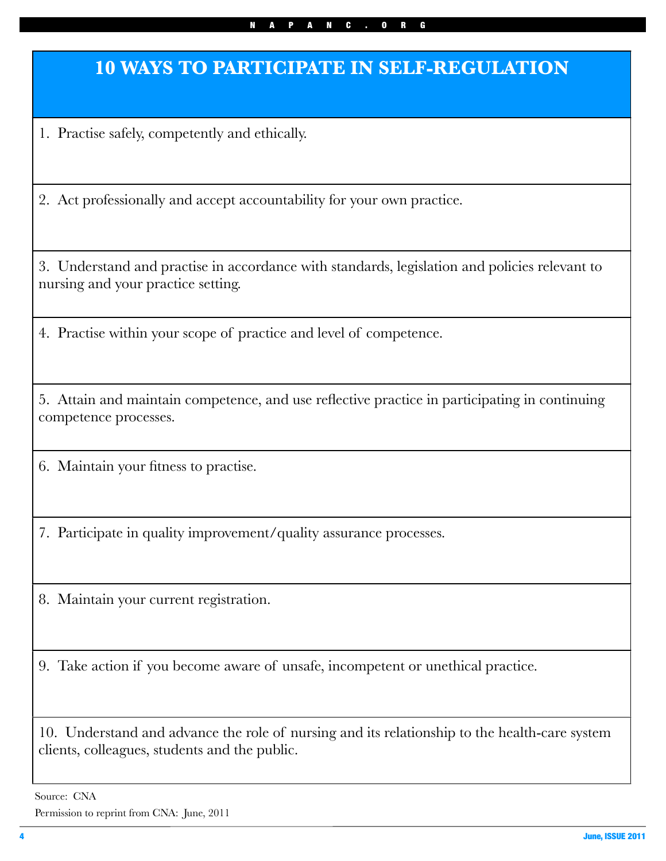#### NAPANC.ORG

# **10 WAYS TO PARTICIPATE IN SELF-REGULATION**

1. Practise safely, competently and ethically.

2. Act professionally and accept accountability for your own practice.

3. Understand and practise in accordance with standards, legislation and policies relevant to nursing and your practice setting.

4. Practise within your scope of practice and level of competence.

5. Attain and maintain competence, and use reflective practice in participating in continuing competence processes.

6. Maintain your fitness to practise.

7. Participate in quality improvement/quality assurance processes.

8. Maintain your current registration.

9. Take action if you become aware of unsafe, incompetent or unethical practice.

10. Understand and advance the role of nursing and its relationship to the health-care system clients, colleagues, students and the public.

Source: CNA

Permission to reprint from CNA: June, 2011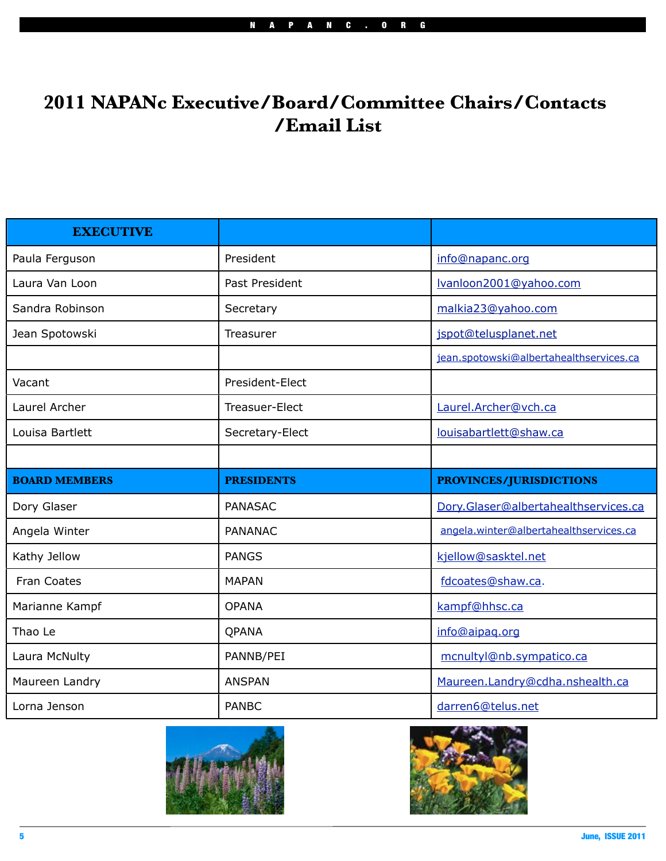# **2011 NAPANc Executive/Board/Committee Chairs/Contacts /Email List**

| <b>EXECUTIVE</b>     |                   |                                         |
|----------------------|-------------------|-----------------------------------------|
| Paula Ferguson       | President         | info@napanc.org                         |
| Laura Van Loon       | Past President    | Ivanloon2001@yahoo.com                  |
| Sandra Robinson      | Secretary         | malkia23@yahoo.com                      |
| Jean Spotowski       | Treasurer         | jspot@telusplanet.net                   |
|                      |                   | jean.spotowski@albertahealthservices.ca |
| Vacant               | President-Elect   |                                         |
| Laurel Archer        | Treasuer-Elect    | Laurel.Archer@vch.ca                    |
| Louisa Bartlett      | Secretary-Elect   | louisabartlett@shaw.ca                  |
|                      |                   |                                         |
|                      |                   |                                         |
| <b>BOARD MEMBERS</b> | <b>PRESIDENTS</b> | <b>PROVINCES/JURISDICTIONS</b>          |
| Dory Glaser          | <b>PANASAC</b>    | Dory.Glaser@albertahealthservices.ca    |
| Angela Winter        | <b>PANANAC</b>    | angela.winter@albertahealthservices.ca  |
| Kathy Jellow         | <b>PANGS</b>      | kjellow@sasktel.net                     |
| Fran Coates          | <b>MAPAN</b>      | fdcoates@shaw.ca.                       |
| Marianne Kampf       | <b>OPANA</b>      | kampf@hhsc.ca                           |
| Thao Le              | QPANA             | info@aipaq.org                          |
| Laura McNulty        | PANNB/PEI         | mcnultyl@nb.sympatico.ca                |
| Maureen Landry       | <b>ANSPAN</b>     | Maureen.Landry@cdha.nshealth.ca         |



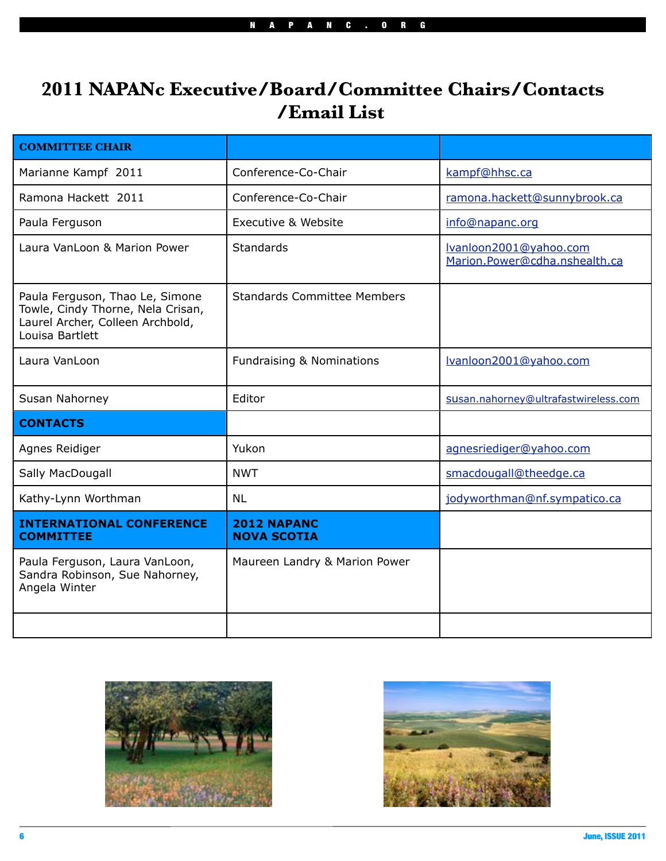# **2011 NAPANc Executive/Board/Committee Chairs/Contacts /Email List**

| <b>COMMITTEE CHAIR</b>                                                                                                      |                                          |                                                         |  |
|-----------------------------------------------------------------------------------------------------------------------------|------------------------------------------|---------------------------------------------------------|--|
| Marianne Kampf 2011                                                                                                         | Conference-Co-Chair                      | kampf@hhsc.ca                                           |  |
| Ramona Hackett 2011                                                                                                         | Conference-Co-Chair                      | ramona.hackett@sunnybrook.ca                            |  |
| Paula Ferguson                                                                                                              | Executive & Website                      | info@napanc.org                                         |  |
| Laura VanLoon & Marion Power                                                                                                | <b>Standards</b>                         | Ivanloon2001@yahoo.com<br>Marion.Power@cdha.nshealth.ca |  |
| Paula Ferguson, Thao Le, Simone<br>Towle, Cindy Thorne, Nela Crisan,<br>Laurel Archer, Colleen Archbold,<br>Louisa Bartlett | <b>Standards Committee Members</b>       |                                                         |  |
| Laura VanLoon                                                                                                               | <b>Fundraising &amp; Nominations</b>     | Ivanloon2001@yahoo.com                                  |  |
| Susan Nahorney                                                                                                              | Editor                                   | susan.nahorney@ultrafastwireless.com                    |  |
| <b>CONTACTS</b>                                                                                                             |                                          |                                                         |  |
| Agnes Reidiger                                                                                                              | Yukon                                    | agnesriediger@yahoo.com                                 |  |
| Sally MacDougall                                                                                                            | <b>NWT</b>                               | smacdougall@theedge.ca                                  |  |
| Kathy-Lynn Worthman                                                                                                         | <b>NL</b>                                | jodyworthman@nf.sympatico.ca                            |  |
| <b>INTERNATIONAL CONFERENCE</b><br><b>COMMITTEE</b>                                                                         | <b>2012 NAPANC</b><br><b>NOVA SCOTIA</b> |                                                         |  |
| Paula Ferguson, Laura VanLoon,<br>Sandra Robinson, Sue Nahorney,<br>Angela Winter                                           | Maureen Landry & Marion Power            |                                                         |  |
|                                                                                                                             |                                          |                                                         |  |



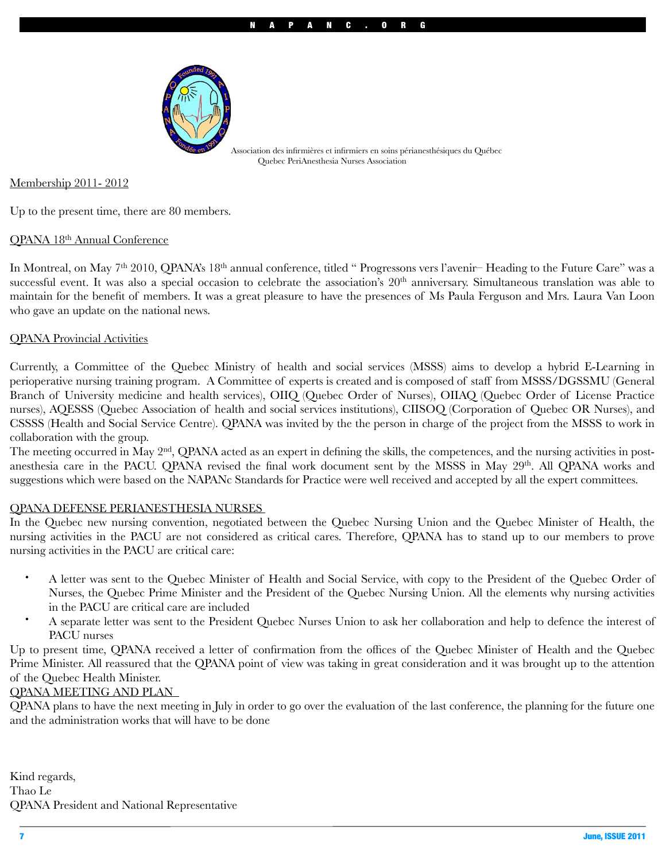

Association des infirmières et infirmiers en soins périanesthésiques du Québec Quebec PeriAnesthesia Nurses Association

Membership 2011- 2012

Up to the present time, there are 80 members.

#### QPANA 18th Annual Conference

In Montreal, on May 7<sup>th</sup> 2010, QPANA's 18<sup>th</sup> annual conference, titled "Progressons vers l'avenir– Heading to the Future Care" was a successful event. It was also a special occasion to celebrate the association's 20<sup>th</sup> anniversary. Simultaneous translation was able to maintain for the benefit of members. It was a great pleasure to have the presences of Ms Paula Ferguson and Mrs. Laura Van Loon who gave an update on the national news.

#### QPANA Provincial Activities

Currently, a Committee of the Quebec Ministry of health and social services (MSSS) aims to develop a hybrid E-Learning in perioperative nursing training program. A Committee of experts is created and is composed of staff from MSSS/DGSSMU (General Branch of University medicine and health services), OIIQ (Quebec Order of Nurses), OIIAQ (Quebec Order of License Practice nurses), AQESSS (Quebec Association of health and social services institutions), CIISOQ (Corporation of Quebec OR Nurses), and CSSSS (Health and Social Service Centre). QPANA was invited by the the person in charge of the project from the MSSS to work in collaboration with the group.

The meeting occurred in May 2<sup>nd</sup>, QPANA acted as an expert in defining the skills, the competences, and the nursing activities in postanesthesia care in the PACU. QPANA revised the final work document sent by the MSSS in May 29<sup>th</sup>. All QPANA works and suggestions which were based on the NAPANc Standards for Practice were well received and accepted by all the expert committees.

#### QPANA DEFENSE PERIANESTHESIA NURSES

In the Quebec new nursing convention, negotiated between the Quebec Nursing Union and the Quebec Minister of Health, the nursing activities in the PACU are not considered as critical cares. Therefore, QPANA has to stand up to our members to prove nursing activities in the PACU are critical care:

- A letter was sent to the Quebec Minister of Health and Social Service, with copy to the President of the Quebec Order of Nurses, the Quebec Prime Minister and the President of the Quebec Nursing Union. All the elements why nursing activities in the PACU are critical care are included
- A separate letter was sent to the President Quebec Nurses Union to ask her collaboration and help to defence the interest of PACU nurses

Up to present time, QPANA received a letter of confirmation from the offices of the Quebec Minister of Health and the Quebec Prime Minister. All reassured that the QPANA point of view was taking in great consideration and it was brought up to the attention of the Quebec Health Minister.

#### QPANA MEETING AND PLAN

QPANA plans to have the next meeting in July in order to go over the evaluation of the last conference, the planning for the future one and the administration works that will have to be done

Kind regards, Thao Le QPANA President and National Representative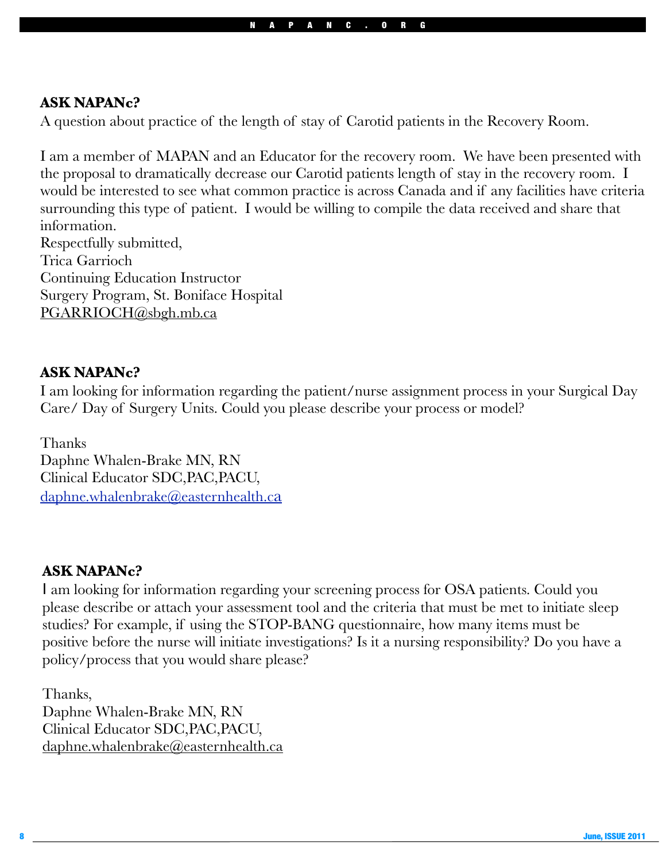# **ASK NAPANc?**

A question about practice of the length of stay of Carotid patients in the Recovery Room.

I am a member of MAPAN and an Educator for the recovery room. We have been presented with the proposal to dramatically decrease our Carotid patients length of stay in the recovery room. I would be interested to see what common practice is across Canada and if any facilities have criteria surrounding this type of patient. I would be willing to compile the data received and share that information. Respectfully submitted, Trica Garrioch Continuing Education Instructor Surgery Program, St. Boniface Hospital [PGARRIOCH@sbgh.mb.ca](mailto:PGARRIOCH@sbgh.mb.ca) 

# **ASK NAPANc?**

I am looking for information regarding the patient/nurse assignment process in your Surgical Day Care/ Day of Surgery Units. Could you please describe your process or model?

Thanks Daphne Whalen-Brake MN, RN Clinical Educator SDC,PAC,PACU, [daphne.whalenbrake@easternhealth.ca](mailto:daphne.whalenbrake@easternhealth.ca)

# **ASK NAPANc?**

I am looking for information regarding your screening process for OSA patients. Could you please describe or attach your assessment tool and the criteria that must be met to initiate sleep studies? For example, if using the STOP-BANG questionnaire, how many items must be positive before the nurse will initiate investigations? Is it a nursing responsibility? Do you have a policy/process that you would share please?

Thanks,

Daphne Whalen-Brake MN, RN Clinical Educator SDC,PAC,PACU, [daphne.whalenbrake@easternhealth.ca](mailto:daphne.whalenbrake@easternhealth.ca)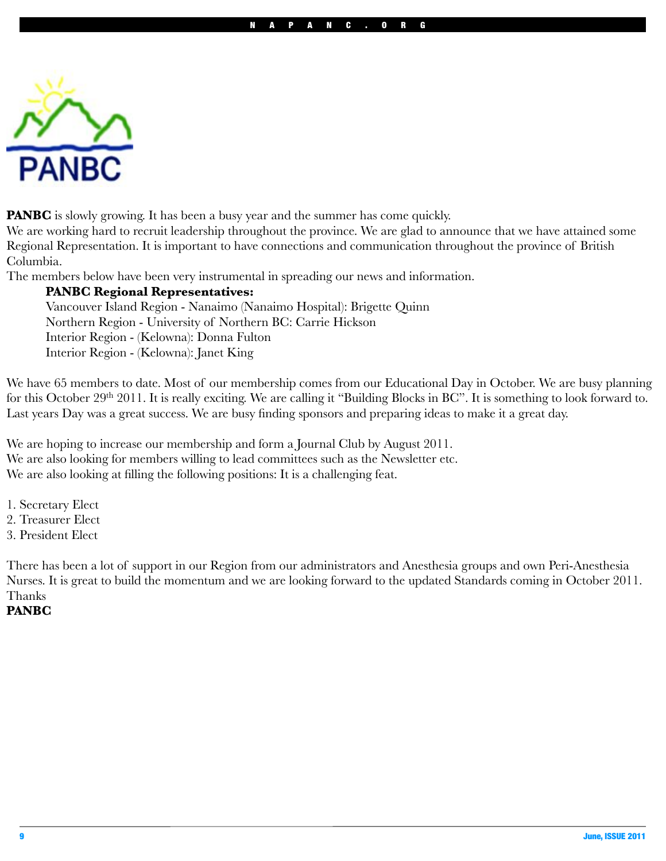

**PANBC** is slowly growing. It has been a busy year and the summer has come quickly.

We are working hard to recruit leadership throughout the province. We are glad to announce that we have attained some Regional Representation. It is important to have connections and communication throughout the province of British Columbia.

The members below have been very instrumental in spreading our news and information.

### **PANBC Regional Representatives:**

Vancouver Island Region - Nanaimo (Nanaimo Hospital): Brigette Quinn Northern Region - University of Northern BC: Carrie Hickson Interior Region - (Kelowna): Donna Fulton Interior Region - (Kelowna): Janet King

We have 65 members to date. Most of our membership comes from our Educational Day in October. We are busy planning for this October 29<sup>th</sup> 2011. It is really exciting. We are calling it "Building Blocks in BC". It is something to look forward to. Last years Day was a great success. We are busy finding sponsors and preparing ideas to make it a great day.

We are hoping to increase our membership and form a Journal Club by August 2011. We are also looking for members willing to lead committees such as the Newsletter etc. We are also looking at filling the following positions: It is a challenging feat.

- 1. Secretary Elect
- 2. Treasurer Elect
- 3. President Elect

There has been a lot of support in our Region from our administrators and Anesthesia groups and own Peri-Anesthesia Nurses. It is great to build the momentum and we are looking forward to the updated Standards coming in October 2011. Thanks

### **PANBC**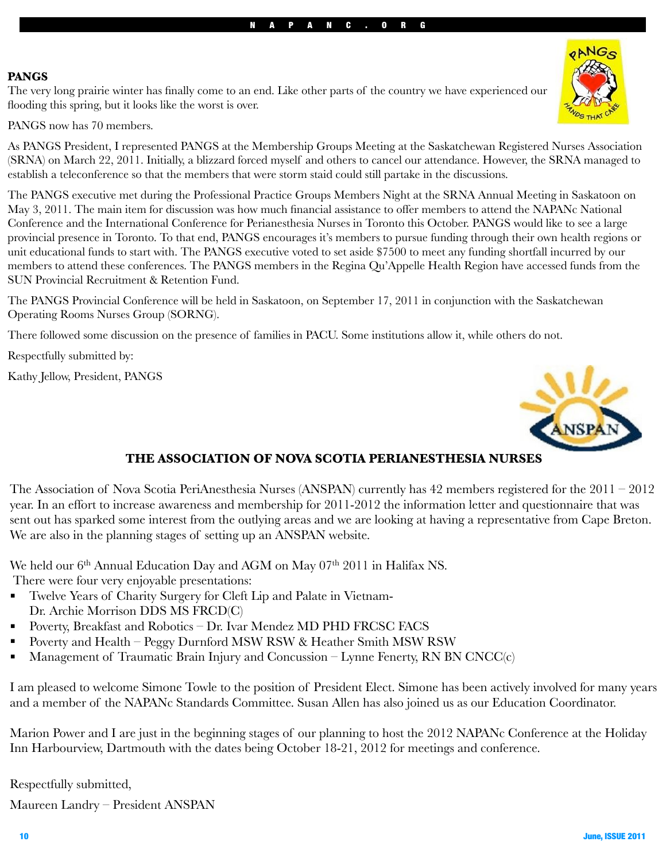### **PANGS**

The very long prairie winter has finally come to an end. Like other parts of the country we have experienced our flooding this spring, but it looks like the worst is over.

PANGS now has 70 members.

As PANGS President, I represented PANGS at the Membership Groups Meeting at the Saskatchewan Registered Nurses Association (SRNA) on March 22, 2011. Initially, a blizzard forced myself and others to cancel our attendance. However, the SRNA managed to establish a teleconference so that the members that were storm staid could still partake in the discussions.

The PANGS executive met during the Professional Practice Groups Members Night at the SRNA Annual Meeting in Saskatoon on May 3, 2011. The main item for discussion was how much financial assistance to offer members to attend the NAPANc National Conference and the International Conference for Perianesthesia Nurses in Toronto this October. PANGS would like to see a large provincial presence in Toronto. To that end, PANGS encourages it's members to pursue funding through their own health regions or unit educational funds to start with. The PANGS executive voted to set aside \$7500 to meet any funding shortfall incurred by our members to attend these conferences. The PANGS members in the Regina Qu'Appelle Health Region have accessed funds from the SUN Provincial Recruitment & Retention Fund.

The PANGS Provincial Conference will be held in Saskatoon, on September 17, 2011 in conjunction with the Saskatchewan Operating Rooms Nurses Group (SORNG).

There followed some discussion on the presence of families in PACU. Some institutions allow it, while others do not.

Respectfully submitted by:

Kathy Jellow, President, PANGS



# **THE ASSOCIATION OF NOVA SCOTIA PERIANESTHESIA NURSES**

The Association of Nova Scotia PeriAnesthesia Nurses (ANSPAN) currently has 42 members registered for the 2011 – 2012 year. In an effort to increase awareness and membership for 2011-2012 the information letter and questionnaire that was sent out has sparked some interest from the outlying areas and we are looking at having a representative from Cape Breton. We are also in the planning stages of setting up an ANSPAN website.

We held our 6<sup>th</sup> Annual Education Day and AGM on May 07<sup>th</sup> 2011 in Halifax NS. There were four very enjoyable presentations:

- ! Twelve Years of Charity Surgery for Cleft Lip and Palate in Vietnam-Dr. Archie Morrison DDS MS FRCD(C)
- ! Poverty, Breakfast and Robotics Dr. Ivar Mendez MD PHD FRCSC FACS
- ! Poverty and Health Peggy Durnford MSW RSW & Heather Smith MSW RSW
- ! Management of Traumatic Brain Injury and Concussion Lynne Fenerty, RN BN CNCC(c)

I am pleased to welcome Simone Towle to the position of President Elect. Simone has been actively involved for many years and a member of the NAPANc Standards Committee. Susan Allen has also joined us as our Education Coordinator.

Marion Power and I are just in the beginning stages of our planning to host the 2012 NAPANc Conference at the Holiday Inn Harbourview, Dartmouth with the dates being October 18-21, 2012 for meetings and conference.

Respectfully submitted,

Maureen Landry – President ANSPAN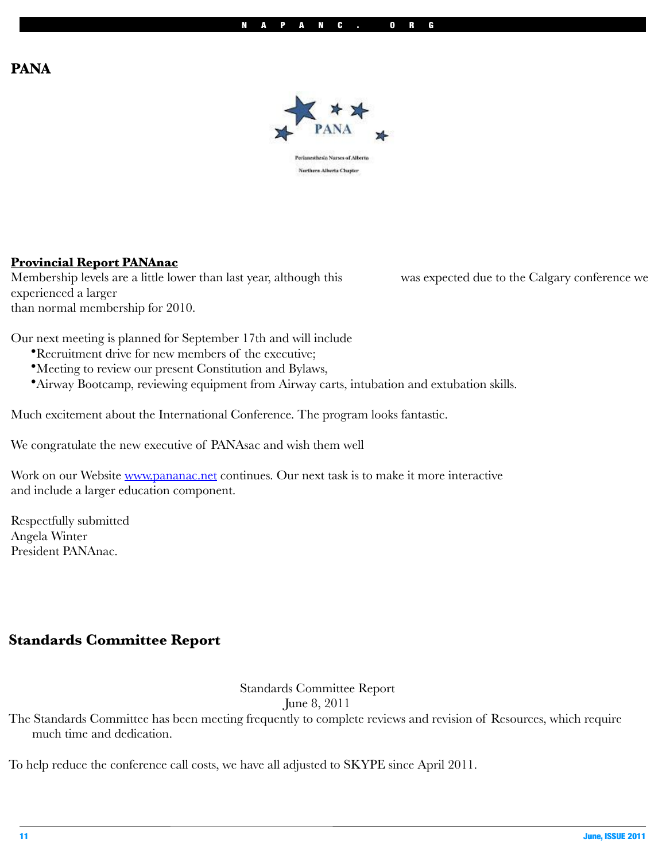# **PANA**



## **Provincial Report PANAnac**

Membership levels are a little lower than last year, although this was expected due to the Calgary conference we experienced a larger than normal membership for 2010.

Our next meeting is planned for September 17th and will include

- •Recruitment drive for new members of the executive;
- •Meeting to review our present Constitution and Bylaws,
- •Airway Bootcamp, reviewing equipment from Airway carts, intubation and extubation skills.

Much excitement about the International Conference. The program looks fantastic.

We congratulate the new executive of PANAsac and wish them well

Work on our Website [www.pananac.net](http://www.pananac.net) continues. Our next task is to make it more interactive and include a larger education component.

Respectfully submitted Angela Winter President PANAnac.

# **Standards Committee Report**

Standards Committee Report

June 8, 2011

The Standards Committee has been meeting frequently to complete reviews and revision of Resources, which require much time and dedication.

To help reduce the conference call costs, we have all adjusted to SKYPE since April 2011.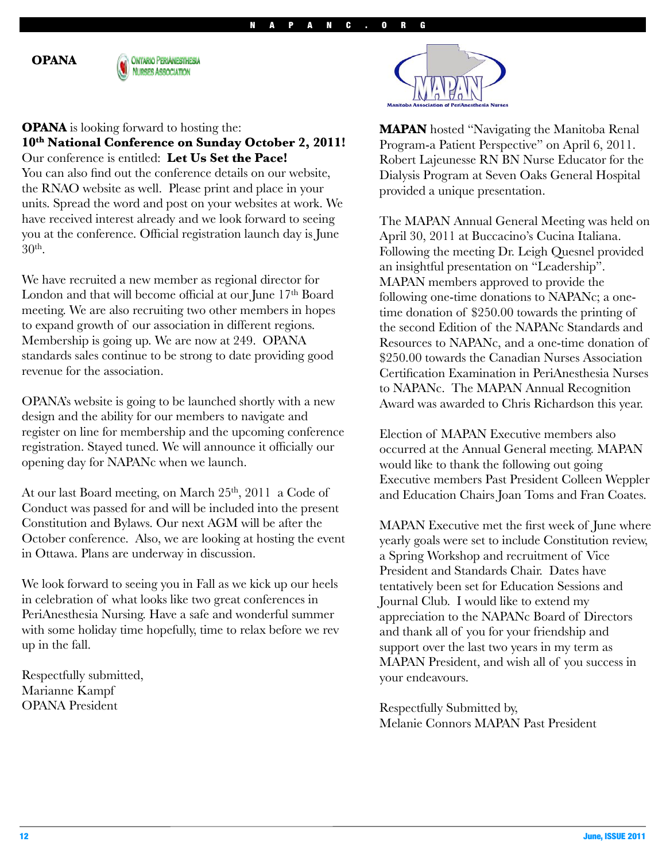**OPANA** 



#### **OPANA** is looking forward to hosting the:

**10th National Conference on Sunday October 2, 2011!**  Our conference is entitled: **Let Us Set the Pace!**

You can also find out the conference details on our website, the RNAO website as well. Please print and place in your units. Spread the word and post on your websites at work. We have received interest already and we look forward to seeing you at the conference. Official registration launch day is June 30th.

We have recruited a new member as regional director for London and that will become official at our June 17<sup>th</sup> Board meeting. We are also recruiting two other members in hopes to expand growth of our association in different regions. Membership is going up. We are now at 249. OPANA standards sales continue to be strong to date providing good revenue for the association.

OPANA's website is going to be launched shortly with a new design and the ability for our members to navigate and register on line for membership and the upcoming conference registration. Stayed tuned. We will announce it officially our opening day for NAPANc when we launch.

At our last Board meeting, on March 25<sup>th</sup>, 2011 a Code of Conduct was passed for and will be included into the present Constitution and Bylaws. Our next AGM will be after the October conference. Also, we are looking at hosting the event in Ottawa. Plans are underway in discussion.

We look forward to seeing you in Fall as we kick up our heels in celebration of what looks like two great conferences in PeriAnesthesia Nursing. Have a safe and wonderful summer with some holiday time hopefully, time to relax before we rev up in the fall.

Respectfully submitted, Marianne Kampf OPANA President



**MAPAN** hosted "Navigating the Manitoba Renal Program-a Patient Perspective" on April 6, 2011. Robert Lajeunesse RN BN Nurse Educator for the Dialysis Program at Seven Oaks General Hospital provided a unique presentation.

The MAPAN Annual General Meeting was held on April 30, 2011 at Buccacino's Cucina Italiana. Following the meeting Dr. Leigh Quesnel provided an insightful presentation on "Leadership". MAPAN members approved to provide the following one-time donations to NAPANc; a onetime donation of \$250.00 towards the printing of the second Edition of the NAPANc Standards and Resources to NAPANc, and a one-time donation of \$250.00 towards the Canadian Nurses Association Certification Examination in PeriAnesthesia Nurses to NAPANc. The MAPAN Annual Recognition Award was awarded to Chris Richardson this year.

Election of MAPAN Executive members also occurred at the Annual General meeting. MAPAN would like to thank the following out going Executive members Past President Colleen Weppler and Education Chairs Joan Toms and Fran Coates.

MAPAN Executive met the first week of June where yearly goals were set to include Constitution review, a Spring Workshop and recruitment of Vice President and Standards Chair. Dates have tentatively been set for Education Sessions and Journal Club. I would like to extend my appreciation to the NAPANc Board of Directors and thank all of you for your friendship and support over the last two years in my term as MAPAN President, and wish all of you success in your endeavours.

Respectfully Submitted by, Melanie Connors MAPAN Past President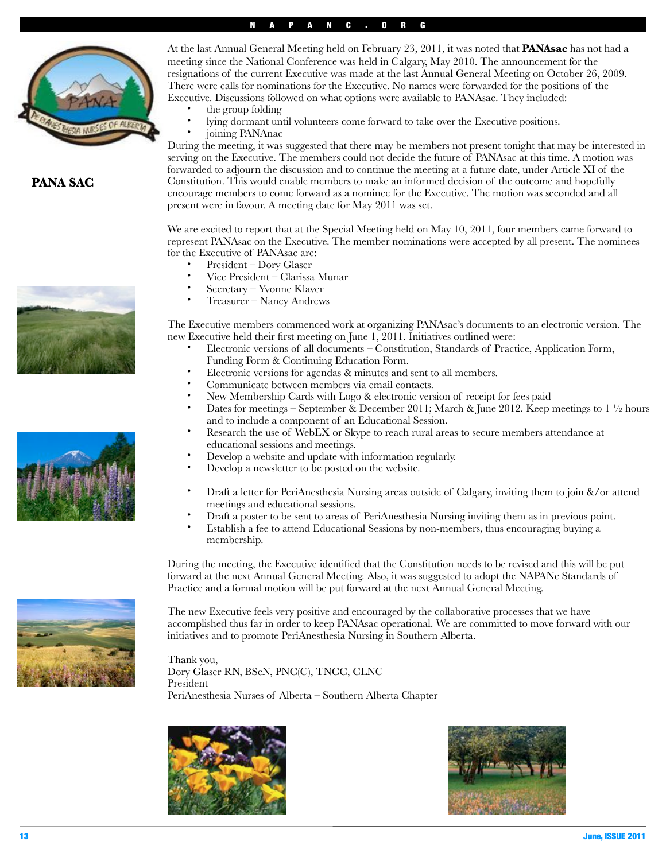#### NAPANC.ORG



#### **PANA SAC**







- the group folding
- lying dormant until volunteers come forward to take over the Executive positions.
- joining PANAnac

During the meeting, it was suggested that there may be members not present tonight that may be interested in serving on the Executive. The members could not decide the future of PANAsac at this time. A motion was forwarded to adjourn the discussion and to continue the meeting at a future date, under Article XI of the Constitution. This would enable members to make an informed decision of the outcome and hopefully encourage members to come forward as a nominee for the Executive. The motion was seconded and all present were in favour. A meeting date for May 2011 was set.

We are excited to report that at the Special Meeting held on May 10, 2011, four members came forward to represent PANAsac on the Executive. The member nominations were accepted by all present. The nominees for the Executive of PANAsac are:

- President Dory Glaser
- Vice President Clarissa Munar
- Secretary Yvonne Klaver
- Treasurer Nancy Andrews

The Executive members commenced work at organizing PANAsac's documents to an electronic version. The new Executive held their first meeting on June 1, 2011. Initiatives outlined were:

- Electronic versions of all documents Constitution, Standards of Practice, Application Form, Funding Form & Continuing Education Form.
- Electronic versions for agendas & minutes and sent to all members.
- Communicate between members via email contacts.
- New Membership Cards with Logo & electronic version of receipt for fees paid
- Dates for meetings September & December 2011; March & June 2012. Keep meetings to  $1\frac{1}{2}$  hours and to include a component of an Educational Session.
- Research the use of WebEX or Skype to reach rural areas to secure members attendance at educational sessions and meetings.
- Develop a website and update with information regularly.
- Develop a newsletter to be posted on the website.
- Draft a letter for PeriAnesthesia Nursing areas outside of Calgary, inviting them to join &/or attend meetings and educational sessions.
- Draft a poster to be sent to areas of PeriAnesthesia Nursing inviting them as in previous point.
- Establish a fee to attend Educational Sessions by non-members, thus encouraging buying a membership.

During the meeting, the Executive identified that the Constitution needs to be revised and this will be put forward at the next Annual General Meeting. Also, it was suggested to adopt the NAPANc Standards of Practice and a formal motion will be put forward at the next Annual General Meeting.

The new Executive feels very positive and encouraged by the collaborative processes that we have accomplished thus far in order to keep PANAsac operational. We are committed to move forward with our initiatives and to promote PeriAnesthesia Nursing in Southern Alberta.

Thank you, Dory Glaser RN, BScN, PNC(C), TNCC, CLNC President PeriAnesthesia Nurses of Alberta – Southern Alberta Chapter



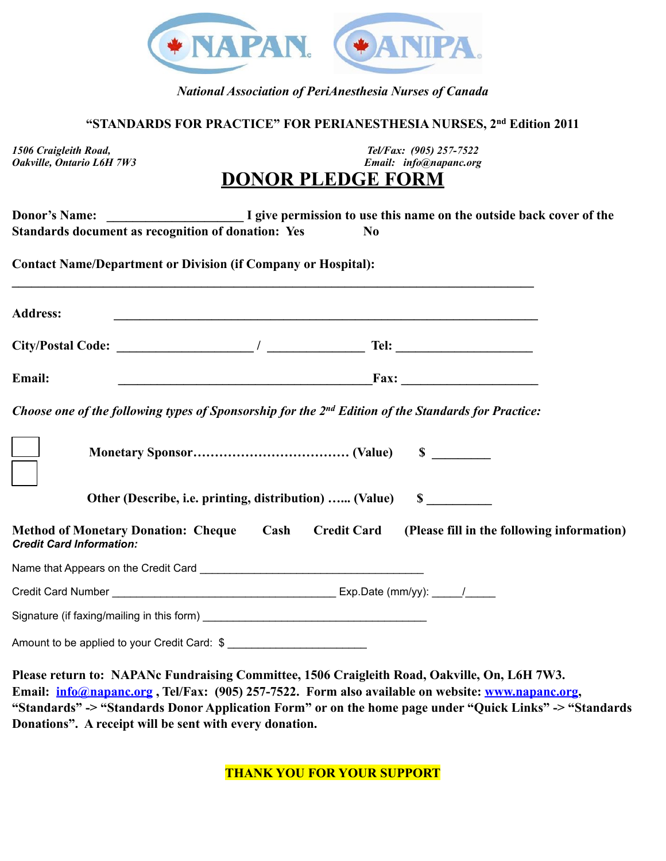

### *National Association of PeriAnesthesia Nurses of Canada*

### **"STANDARDS FOR PRACTICE" FOR PERIANESTHESIA NURSES, 2nd Edition 2011**

*1506 Craigleith Road, Tel/Fax: (905) 257-7522 Email: info@napanc.org* 

# **DONOR PLEDGE FORM**

| Standards document as recognition of donation: Yes                                                                                                   |                                                                                                                                                                                                                                      | N <sub>0</sub> |                                                                                                 |
|------------------------------------------------------------------------------------------------------------------------------------------------------|--------------------------------------------------------------------------------------------------------------------------------------------------------------------------------------------------------------------------------------|----------------|-------------------------------------------------------------------------------------------------|
| <b>Contact Name/Department or Division (if Company or Hospital):</b>                                                                                 |                                                                                                                                                                                                                                      |                |                                                                                                 |
| <b>Address:</b>                                                                                                                                      | <u> 1989 - Johann Stoff, deutscher Stoffen und der Stoffen und der Stoffen und der Stoffen und der Stoffen und der</u>                                                                                                               |                |                                                                                                 |
| $City/Postal Code:$ $\hspace{1.5cm}$ $\hspace{1.5cm}$ $\hspace{1.5cm}$ $\hspace{1.5cm}$ $\hspace{1.5cm}$ $\hspace{1.5cm}$ Tel: $\hspace{1.5cm}$ Tel: |                                                                                                                                                                                                                                      |                |                                                                                                 |
| Email:                                                                                                                                               | <b>Example 18 and 20 and 20 and 20 and 20 and 20 and 20 and 20 and 20 and 20 and 20 and 20 and 20 and 20 and 20 and 20 and 20 and 20 and 20 and 20 and 20 and 20 and 20 and 20 and 20 and 20 and 20 and 20 and 20 and 20 and 20 </b> |                |                                                                                                 |
| Choose one of the following types of Sponsorship for the 2 <sup>nd</sup> Edition of the Standards for Practice:                                      |                                                                                                                                                                                                                                      |                |                                                                                                 |
|                                                                                                                                                      |                                                                                                                                                                                                                                      |                |                                                                                                 |
|                                                                                                                                                      | Other (Describe, i.e. printing, distribution)  (Value) \$                                                                                                                                                                            |                |                                                                                                 |
| <b>Credit Card Information:</b>                                                                                                                      |                                                                                                                                                                                                                                      |                | Method of Monetary Donation: Cheque Cash Credit Card (Please fill in the following information) |
|                                                                                                                                                      |                                                                                                                                                                                                                                      |                |                                                                                                 |
|                                                                                                                                                      |                                                                                                                                                                                                                                      |                |                                                                                                 |
|                                                                                                                                                      |                                                                                                                                                                                                                                      |                |                                                                                                 |
|                                                                                                                                                      |                                                                                                                                                                                                                                      |                |                                                                                                 |
|                                                                                                                                                      |                                                                                                                                                                                                                                      |                | Plages return to: NAPANe Fundraising Committee 1506 Craigleith Road, Oakville, On I 6H 7W3      |

**Please return to: NAPANc Fundraising Committee, 1506 Craigleith Road, Oakville, On, L6H 7W3. Email: [info@napanc.org](mailto:info@napanc.org) , Tel/Fax: (905) 257-7522. Form also available on website: [www.napanc.org,](http://www.napanc.org) "Standards" -> "Standards Donor Application Form" or on the home page under "Quick Links" -> "Standards Donations". A receipt will be sent with every donation.**

**THANK YOU FOR YOUR SUPPORT**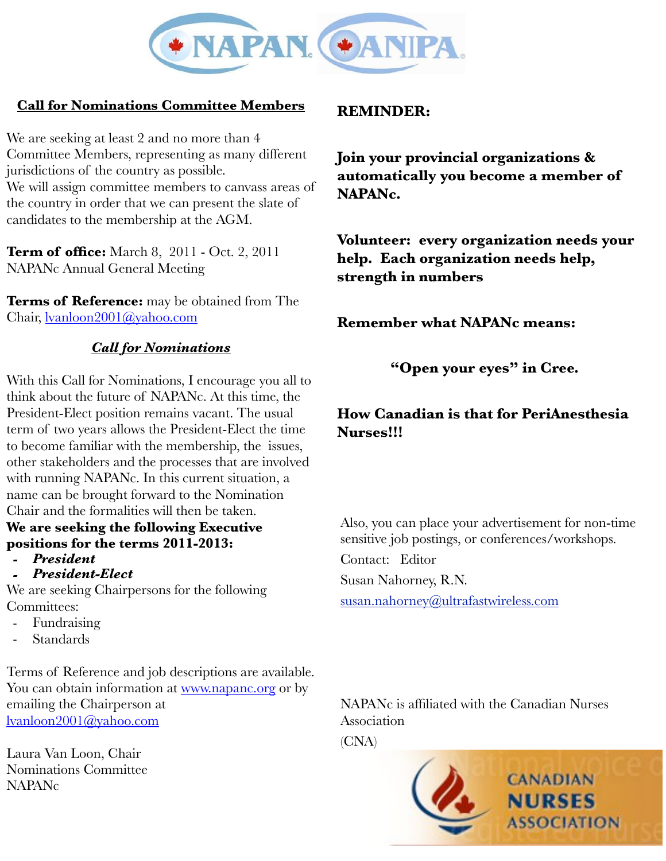

# **Call for Nominations Committee Members**

We are seeking at least 2 and no more than 4 Committee Members, representing as many different jurisdictions of the country as possible. We will assign committee members to canvass areas of the country in order that we can present the slate of candidates to the membership at the AGM.

**Term of office:** March 8, 2011 - Oct. 2, 2011 NAPANc Annual General Meeting

**Terms of Reference:** may be obtained from The Chair, [lvanloon2001@yahoo.com](mailto:lvanloon2001@yahoo.com)

# *Call for Nominations*

With this Call for Nominations, I encourage you all to think about the future of NAPANc. At this time, the President-Elect position remains vacant. The usual term of two years allows the President-Elect the time to become familiar with the membership, the issues, other stakeholders and the processes that are involved with running NAPANc. In this current situation, a name can be brought forward to the Nomination Chair and the formalities will then be taken.

# **We are seeking the following Executive positions for the terms 2011-2013:**

- *- President*
- *- President-Elect*

We are seeking Chairpersons for the following Committees:

- Fundraising
- Standards

Terms of Reference and job descriptions are available. You can obtain information at [www.napanc.org](http://www.napanc.org) or by emailing the Chairperson at [lvanloon2001@yahoo.com](mailto:lvanloon2001@yahoo.com)

Laura Van Loon, Chair Nominations Committee NAPANc

# **REMINDER:**

**Join your provincial organizations & automatically you become a member of NAPANc.**

**Volunteer: every organization needs your help. Each organization needs help, strength in numbers**

**Remember what NAPANc means:**

# **"Open your eyes" in Cree.**

# **How Canadian is that for PeriAnesthesia Nurses!!!**

Also, you can place your advertisement for non-time sensitive job postings, or conferences/workshops.

Contact: Editor

Susan Nahorney, R.N.

[susan.nahorney@ultrafastwireless.com](mailto:susan.nahorney@ultrafastwireless.com)

NAPANc is affiliated with the Canadian Nurses Association

(CNA)

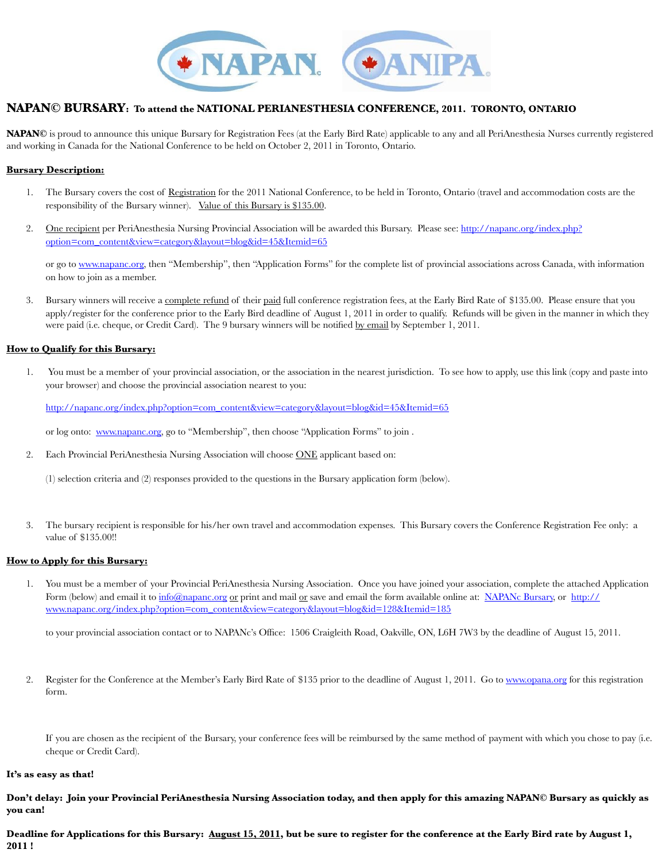

#### **NAPAN© BURSARY: To attend the NATIONAL PERIANESTHESIA CONFERENCE, 2011. TORONTO, ONTARIO**

**NAPAN©** is proud to announce this unique Bursary for Registration Fees (at the Early Bird Rate) applicable to any and all PeriAnesthesia Nurses currently registered and working in Canada for the National Conference to be held on October 2, 2011 in Toronto, Ontario.

#### **Bursary Description:**

- 1. The Bursary covers the cost of Registration for the 2011 National Conference, to be held in Toronto, Ontario (travel and accommodation costs are the responsibility of the Bursary winner). Value of this Bursary is \$135.00.
- 2. One recipient per PeriAnesthesia Nursing Provincial Association will be awarded this Bursary. Please see: [http://napanc.org/index.php?](http://napanc.org/index.php?option=com_content&view=category&layout=blog&id=45&Itemid=65) [option=com\\_content&view=category&layout=blog&id=45&Itemid=65](http://napanc.org/index.php?option=com_content&view=category&layout=blog&id=45&Itemid=65)

[or go to](http://napanc.org/index.php?option=com_content&view=category&layout=blog&id=45&Itemid=65) [www.napanc.org,](http://www.napanc.org) [then "Membership", then "Application Forms](http://napanc.org/index.php?option=com_content&view=category&layout=blog&id=45&Itemid=65)" for the complete list of provincial associations across Canada, with information on how to join as a member.

3. Bursary winners will receive a complete refund of their paid full conference registration fees, at the Early Bird Rate of \$135.00. Please ensure that you apply/register for the conference prior to the Early Bird deadline of August 1, 2011 in order to qualify. Refunds will be given in the manner in which they were paid (i.e. cheque, or Credit Card). The 9 bursary winners will be notified by email by September 1, 2011.

#### **How to Qualify for this Bursary:**

1. You must be a member of your provincial association, or the association in the nearest jurisdiction. To see how to apply, use this link (copy and paste into your browser) and choose the provincial association nearest to you:

[http://napanc.org/index.php?option=com\\_content&view=category&layout=blog&id=45&Itemid=65](http://napanc.org/index.php?option=com_content&view=category&layout=blog&id=45&Itemid=65)

[or log onto:](http://napanc.org/index.php?option=com_content&view=category&layout=blog&id=45&Itemid=65) [www.napanc.org,](http://www.napanc.org) [go to "Membership", then choose "Application Forms" to join .](http://napanc.org/index.php?option=com_content&view=category&layout=blog&id=45&Itemid=65) 

2. Each Provin[cial PeriAnesthesi](http://www.napanc.org)a Nursing Association will choose ONE applicant based on:

(1) selection criteria and (2) responses provided to the questions in the Bursary application form (below).

3. The bursary recipient is responsible for his/her own travel and accommodation expenses. This Bursary covers the Conference Registration Fee only: a value of \$135.00!!

#### **How to Apply for this Bursary:**

1. You must be a member of your Provincial PeriAnesthesia Nursing Association. Once you have joined your association, complete the attached Application Form (below) and email it to [info@napanc.org](mailto:info@napanc.org) or print and mail or save and email the form available online at: NAPANc Bursary, or [http://](http://www.napanc.org/index.php?option=com_content&view=category&layout=blog&id=128&Itemid=185) [www.napanc.org/index.php?option=com\\_content&view=category&layout=blog&id=128&Itemid=185](http://www.napanc.org/index.php?option=com_content&view=category&layout=blog&id=128&Itemid=185)

[to your provincial association contact or to NAPANc's Office: 1506 Craigleith Road, Oakville, ON, L6H](http://www.napanc.org/index.php?option=com_content&view=category&layout=blog&id=128&Itemid=185) 7W3 by the deadline of August 15, 2011.

2. Register for the Conference at the Member's Early Bird Rate of \$135 prior to the deadline of August 1, 2011. Go to [www.opana.org](http://www.opana.org) for this registration form.

If you are chosen as the recipient of the Bursary, your conference fees will be reimbursed by the same method of payment with which you chose to pay (i.e. cheque or Credit Card).

#### **It's as easy as that!**

**Don't delay: Join your Provincial PeriAnesthesia Nursing Association today, and then apply for this amazing NAPAN© Bursary as quickly as you can!** 

**Deadline for Applications for this Bursary: August 15, 2011, but be sure to register for the conference at the Early Bird rate by August 1, 2011 !**